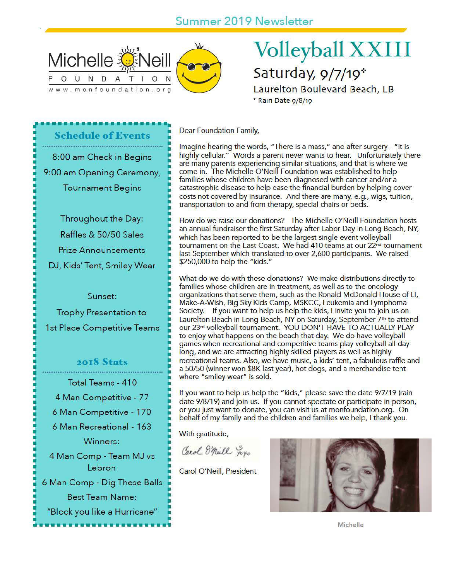

# **Volleyball XXIII** Saturday, 9/7/19\*

Laurelton Boulevard Beach, LB \* Rain Date 9/8/19

Dear Foundation Family,

Imagine hearing the words, "There is a mass," and after surgery - "it is highly cellular." Words a parent never wants to hear. Unfortunately there are many parents experiencing similar situations, and that is where we come in. The Michelle O'Neill Foundation was established to help families whose children have been diagnosed with cancer and/or a catastrophic disease to help ease the financial burden by helping cover costs not covered by insurance. And there are many, e.g., wigs, tuition, transportation to and from therapy, special chairs or beds.

How do we raise our donations? The Michelle O'Neill Foundation hosts an annual fundraiser the first Saturday after Labor Day in Long Beach, NY, which has been reported to be the largest single event volleyball tournament on the East Coast. We had 410 teams at our 22<sup>nd</sup> tournament last September which translated to over 2,600 participants. We raised \$250,000 to help the "kids."

What do we do with these donations? We make distributions directly to families whose children are in treatment, as well as to the oncology organizations that serve them, such as the Ronald McDonald House of LI, Make-A-Wish, Big Sky Kids Camp, MSKCC, Leukemia and Lymphoma Society. If you want to help us help the kids, I invite you to join us on Laurelton Beach in Long Beach, NY on Saturday, September 7<sup>th</sup> to attend our 23rd volleyball tournament. YOU DON'T HAVE TO ACTUALLY PLAY to enjoy what happens on the beach that day. We do have volleyball games when recreational and competitive teams play volleyball all day long, and we are attracting highly skilled players as well as highly recreational teams. Also, we have music, a kids' tent, a fabulous raffle and a 50/50 (winner won \$8K last year), hot dogs, and a merchandise tent where "smiley wear" is sold.

If you want to help us help the "kids," please save the date 9/7/19 (rain date 9/8/19) and join us. If you cannot spectate or participate in person, or you just want to donate, you can visit us at monfoundation.org. On behalf of my family and the children and families we help, I thank you.

With gratitude,

Carol Spill yoyo

Carol O'Neill, President



Michelle

8:00 am Check in Begins

**Schedule of Events** 

9:00 am Opening Ceremony,

**Tournament Begins** 

Throughout the Day: Raffles & 50/50 Sales **Prize Announcements** DJ, Kids' Tent, Smiley Wear

Sunset:

**Trophy Presentation to** 1st Place Competitive Teams

2018 Stats

Total Teams - 410 4 Man Competitive - 77

6 Man Competitive - 170

6 Man Recreational - 163

Winners:

4 Man Comp - Team MJ vs Lebron

6 Man Comp - Dig These Balls **Best Team Name:** 

"Block you like a Hurricane"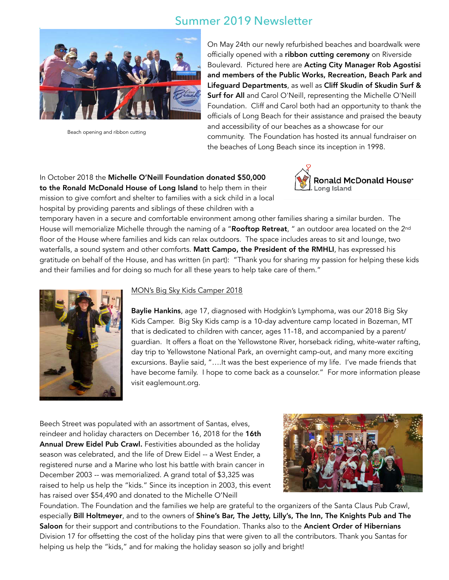

Beach opening and ribbon cutting

On May 24th our newly refurbished beaches and boardwalk were officially opened with a ribbon cutting ceremony on Riverside Boulevard. Pictured here are Acting City Manager Rob Agostisi and members of the Public Works, Recreation, Beach Park and Lifeguard Departments, as well as Cliff Skudin of Skudin Surf & Surf for All and Carol O'Neill, representing the Michelle O'Neill Foundation. Cliff and Carol both had an opportunity to thank the officials of Long Beach for their assistance and praised the beauty and accessibility of our beaches as a showcase for our community. The Foundation has hosted its annual fundraiser on the beaches of Long Beach since its inception in 1998.

In October 2018 the Michelle O'Neill Foundation donated \$50,000 to the Ronald McDonald House of Long Island to help them in their mission to give comfort and shelter to families with a sick child in a local hospital by providing parents and siblings of these children with a



temporary haven in a secure and comfortable environment among other families sharing a similar burden. The House will memorialize Michelle through the naming of a "Rooftop Retreat, " an outdoor area located on the 2<sup>nd</sup> floor of the House where families and kids can relax outdoors. The space includes areas to sit and lounge, two waterfalls, a sound system and other comforts. Matt Campo, the President of the RMHLI, has expressed his gratitude on behalf of the House, and has written (in part): "Thank you for sharing my passion for helping these kids and their families and for doing so much for all these years to help take care of them."



### MON's Big Sky Kids Camper 2018

Baylie Hankins, age 17, diagnosed with Hodgkin's Lymphoma, was our 2018 Big Sky Kids Camper. Big Sky Kids camp is a 10-day adventure camp located in Bozeman, MT that is dedicated to children with cancer, ages 11-18, and accompanied by a parent/ guardian. It offers a float on the Yellowstone River, horseback riding, white-water rafting, day trip to Yellowstone National Park, an overnight camp-out, and many more exciting excursions. Baylie said, "….It was the best experience of my life. I've made friends that have become family. I hope to come back as a counselor." For more information please visit eaglemount.org.

Beech Street was populated with an assortment of Santas, elves, reindeer and holiday characters on December 16, 2018 for the 16th Annual Drew Eidel Pub Crawl. Festivities abounded as the holiday season was celebrated, and the life of Drew Eidel -- a West Ender, a registered nurse and a Marine who lost his battle with brain cancer in December 2003 -- was memorialized. A grand total of \$3,325 was raised to help us help the "kids." Since its inception in 2003, this event has raised over \$54,490 and donated to the Michelle O'Neill



Foundation. The Foundation and the families we help are grateful to the organizers of the Santa Claus Pub Crawl, especially Bill Holtmeyer, and to the owners of Shine's Bar, The Jetty, Lilly's, The Inn, The Knights Pub and The Saloon for their support and contributions to the Foundation. Thanks also to the Ancient Order of Hibernians Division 17 for offsetting the cost of the holiday pins that were given to all the contributors. Thank you Santas for helping us help the "kids," and for making the holiday season so jolly and bright!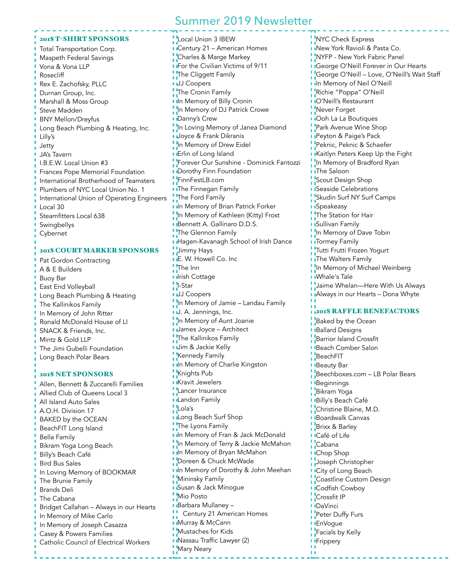#### 2018 T-SHIRT SPONSORS

Total Transportation Corp. Maspeth Federal Savings Vona & Vona LLP Rosecliff Rex E. Zachofsky, PLLC Durnan Group, Inc. Marshall & Moss Group Steve Madden BNY Mellon/Dreyfus Long Beach Plumbing & Heating, Inc. Lilly's Jetty JA's Tavern I.B.E.W. Local Union #3 Frances Pope Memorial Foundation International Brotherhood of Teamsters Plumbers of NYC Local Union No. 1 International Union of Operating Engineers Local 30 Steamfitters Local 638 Swingbellys Cybernet

### 2018 COURT MARKER SPONSORS

Pat Gordon Contracting A & E Builders Buoy Bar East End Volleyball Long Beach Plumbing & Heating The Kallinikos Family In Memory of John Ritter Ronald McDonald House of LI SNACK & Friends, Inc. Mintz & Gold LLP The Jimi Gubelli Foundation Long Beach Polar Bears

### 2018 NET SPONSORS

Allen, Bennett & Zuccarelli Families Allied Club of Queens Local 3 All Island Auto Sales A.O.H. Division 17 BAKED by the OCEAN BeachFIT Long Island Bella Family Bikram Yoga Long Beach Billy's Beach Café Bird Bus Sales In Loving Memory of BOOKMAR The Brunie Family Brands Deli The Cabana Bridget Callahan – Always in our Hearts In Memory of Mike Carlo In Memory of Joseph Casazza Casey & Powers Families Catholic Council of Electrical Workers

**Local Union 3 IBEW I** Century 21 – American Homes **Charles & Marge Markey For the Civilian Victims of 9/11 The Cliggett Family JJJ** Coopers The Cronin Family **In Memory of Billy Cronin** In Memory of DJ Patrick Crowe **Danny's Crew** In Loving Memory of Janea Diamond **Joyce & Frank Dikranis** In Memory of Drew Eidel **I** Erlin of Long Island Forever Our Sunshine - Dominick Fantozzi **Dorothy Finn Foundation** FinnFestLB.com **I** The Finnegan Family The Ford Family **In Memory of Brian Patrick Forker** In Memory of Kathleen (Kitty) Frost Bennett A. Gallinaro D.D.S. The Glennon Family **Hagen-Kavanagh School of Irish Dance Jimmy Hays E. W. Howell Co. Inc. The Inn I** Irish Cottage I-Star **JJ Coopers** In Memory of Jamie – Landau Family I.J. A. Jennings, Inc. In Memory of Aunt Joanie **James Joyce - Architect The Kallinikos Family Jim & Jackie Kelly Kennedy Family In Memory of Charlie Kingston** Knights Pub **Kravit Jewelers** Lancer Insurance **Landon Family** Lola's **L**long Beach Surf Shop The Lyons Family **In Memory of Fran & Jack McDonald** In Memory of Terry & Jackie McMahon **I**In Memory of Bryan McMahon Doreen & Chuck McWade I In Memory of Dorothy & John Meehan Mininsky Family **Busan & Jack Minogue Mio Posto Barbara Mullaney -Century 21 American Homes Murray & McCann Mustaches for Kids Nassau Traffic Lawyer (2) Mary Neary** 

**NYC Check Express INew York Ravioli & Pasta Co.** NYFP - New York Fabric Panel **I** George O'Neill Forever in Our Hearts George O'Neill – Love, O'Neill's Wait Staff **In Memory of Neil O'Neill** Richie "Poppa" O'Neill O'Neill's Restaurant **Never Forget I** IOoh La La Boutiques **Park Avenue Wine Shop Peyton & Paige's Pack** Peknic, Peknic & Schaefer **Kaitlyn Peters Keep Up the Fight In Memory of Bradford Ryan I**IThe Saloon Scout Design Shop **B** Seaside Celebrations Skudin Surf NY Surf Camps **B**Speakeasy The Station for Hair **B** Sullivan Family In Memory of Dave Tobin **I** Tormey Family Tutti Frutti Frozen Yogurt **I** The Walters Family In Memory of Michael Weinberg **I** IWhale's Tale Jaime Whelan—Here With Us Always **I** Always in our Hearts - Dona Whyte 2018 RAFFLE BENEFACTORS **Baked by the Ocean Ballard Designs Barrior Island Crossfit Beach Comber Salon B**eachFIT **Beauty Bar** Beechboxes.com - LB Polar Bears **Beginnings** Bikram Yoga **Billy's Beach Café Christine Blaine, M.D. Boardwalk Canvas Brixx & Barley I**Café of Life Cabana **I**Chop Shop Joseph Christopher **I** City of Long Beach **Coastline Custom Design I** ICodfish Cowboy **Crossfit IP I**DaVinci **Peter Duffy Furs** 

- **EnVogue**
- **Facials by Kelly**
- **Frippery** 
	-

DΤ.